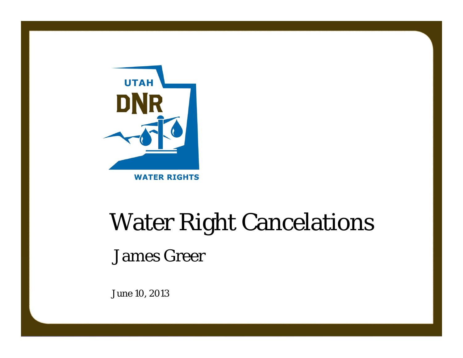

# Water Right Cancelations James Greer

June 10, 2013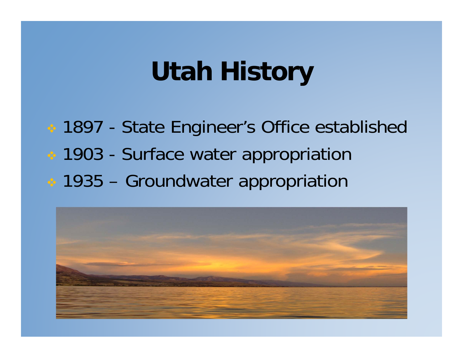# **Utah History**

◆ 1897 - State Engineer's Office established **★ 1903 - Surface water appropriation ★ 1935 – Groundwater appropriation** 

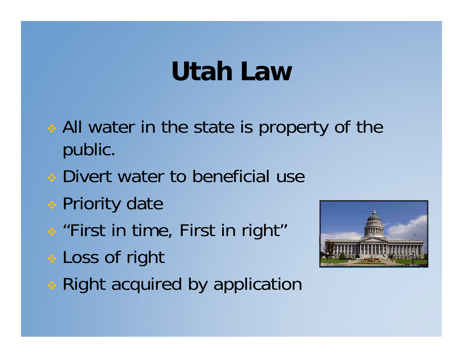# **Utah Law**

- All water in the state is property of the public.
- Divert water to beneficial use
- Priority date
- "First in time, First in right"
- Loss of right



**\* Right acquired by application**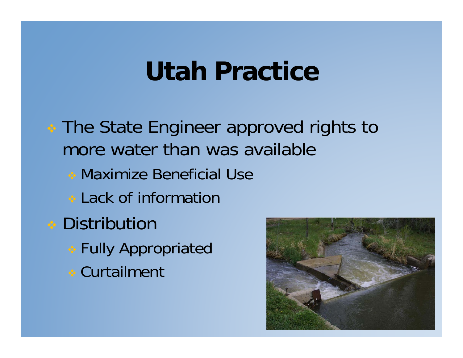### **Utah Practice**

**\*** The State Engineer approved rights to more water than was available Maximize Beneficial Use **Lack of information \*** Distribution Fully Appropriated Curtailment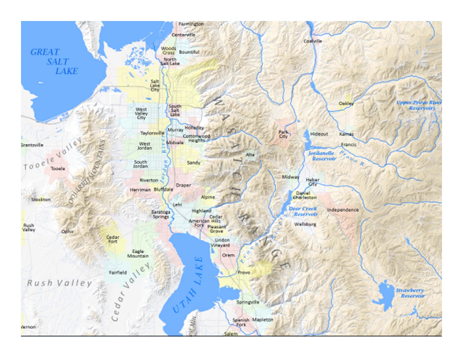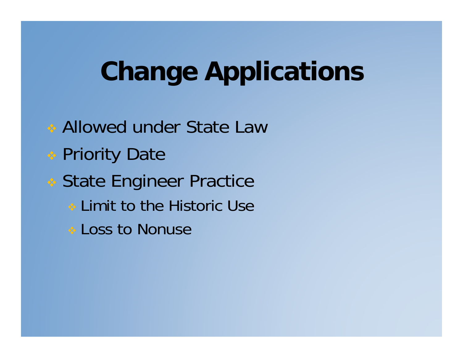# **Change Applications**

**★ Allowed under State Law**  Priority Date State Engineer Practice **Example 20 Find the Historic Use Loss to Nonuse**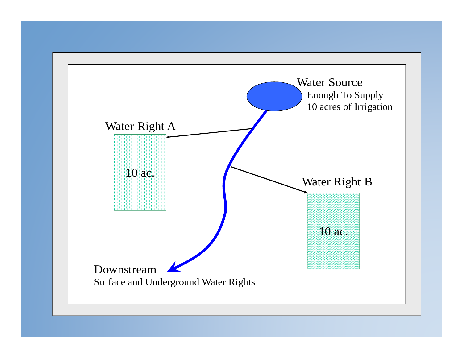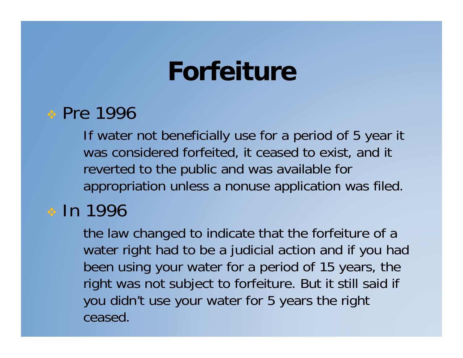## **Forfeiture**

#### **★ Pre 1996**

If water not beneficially use for a period of 5 year it was considered forfeited, it ceased to exist, and it reverted to the public and was available for appropriation unless a nonuse application was filed.

#### $\cdot$  In 1996

the law changed to indicate that the forfeiture of a water right had to be a judicial action and if you had been using your water for a period of 15 years, the right was not subject to forfeiture. But it still said if you didn't use your water for 5 years the right ceased.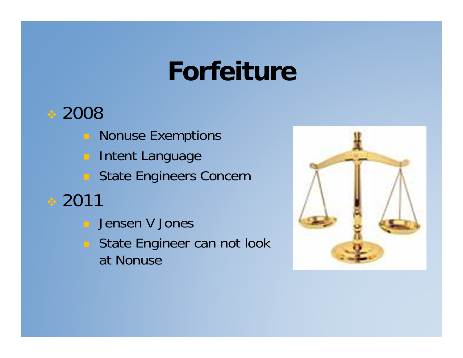# **Forfeiture**



- **Nonuse Exemptions**
- Intent Language
- **State Engineers Concern**
- $\div 2011$ 
	- **D** Jensen V Jones
	- State Engineer can not look at Nonuse

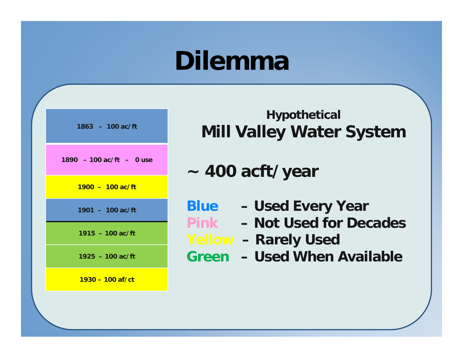### **Dilemma**



**Hypothetical Mill Valley Water System**

- **~ 400 acft/year**
- **Blue – Used Every Year**
- **Pink – Not Used for Decades**
- **Yellow – Rarely Used**
- **Green – Used When Available**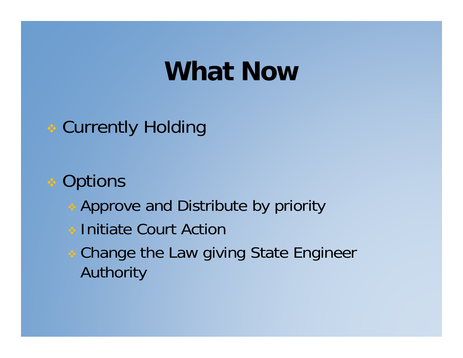# **What Now**

### Currently Holding

### **Exercise Secure** ∗

- Approve and Distribute by priority
- **★ Initiate Court Action**
- Change the Law giving State Engineer Authority